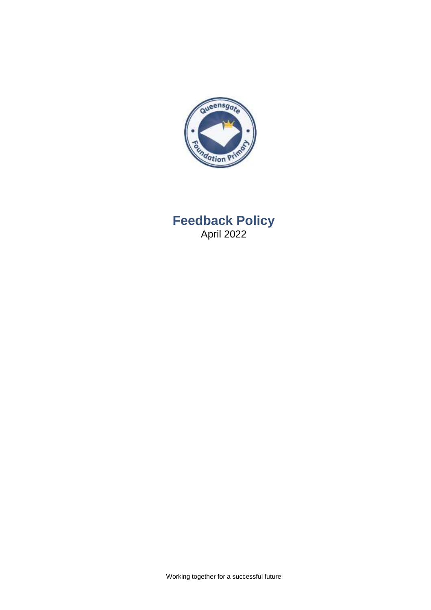

# **Feedback Policy** April 2022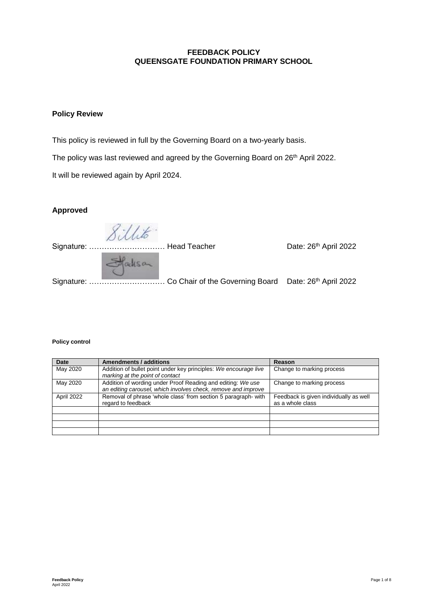#### **FEEDBACK POLICY QUEENSGATE FOUNDATION PRIMARY SCHOOL**

#### **Policy Review**

This policy is reviewed in full by the Governing Board on a two-yearly basis.

The policy was last reviewed and agreed by the Governing Board on 26<sup>th</sup> April 2022.

It will be reviewed again by April 2024.

# **Approved**

Sillito.

Signature: …………………………… Head Teacher Date: 26<sup>th</sup> April 2022

Signature: ……………………………… Co Chair of the Governing Board Date: 26<sup>th</sup> April 2022

#### **Policy control**

| <b>Date</b> | <b>Amendments / additions</b>                                                                                                | Reason                                                     |
|-------------|------------------------------------------------------------------------------------------------------------------------------|------------------------------------------------------------|
| May 2020    | Addition of bullet point under key principles: We encourage live<br>marking at the point of contact                          | Change to marking process                                  |
| May 2020    | Addition of wording under Proof Reading and editing: We use<br>an editing carousel, which involves check, remove and improve | Change to marking process                                  |
| April 2022  | Removal of phrase 'whole class' from section 5 paragraph- with<br>regard to feedback                                         | Feedback is given individually as well<br>as a whole class |
|             |                                                                                                                              |                                                            |
|             |                                                                                                                              |                                                            |
|             |                                                                                                                              |                                                            |
|             |                                                                                                                              |                                                            |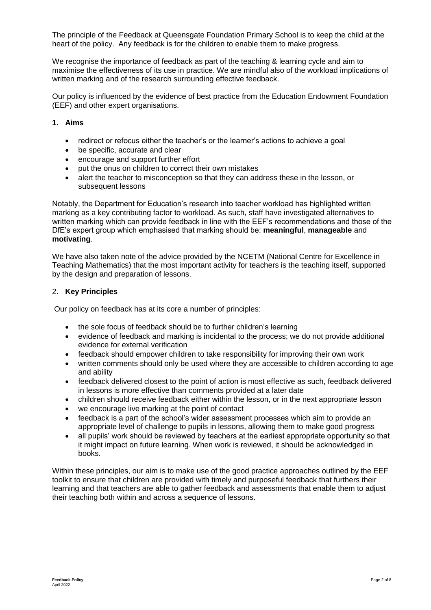The principle of the Feedback at Queensgate Foundation Primary School is to keep the child at the heart of the policy. Any feedback is for the children to enable them to make progress.

We recognise the importance of feedback as part of the teaching & learning cycle and aim to maximise the effectiveness of its use in practice. We are mindful also of the workload implications of written marking and of the research surrounding effective feedback.

Our policy is influenced by the evidence of best practice from the Education Endowment Foundation (EEF) and other expert organisations.

### **1. Aims**

- redirect or refocus either the teacher's or the learner's actions to achieve a goal
- be specific, accurate and clear
- encourage and support further effort
- put the onus on children to correct their own mistakes
- alert the teacher to misconception so that they can address these in the lesson, or subsequent lessons

Notably, the Department for Education's research into teacher workload has highlighted written marking as a key contributing factor to workload. As such, staff have investigated alternatives to written marking which can provide feedback in line with the EEF's recommendations and those of the DfE's expert group which emphasised that marking should be: **meaningful**, **manageable** and **motivating**.

We have also taken note of the advice provided by the NCETM (National Centre for Excellence in Teaching Mathematics) that the most important activity for teachers is the teaching itself, supported by the design and preparation of lessons.

#### 2. **Key Principles**

Our policy on feedback has at its core a number of principles:

- the sole focus of feedback should be to further children's learning
- evidence of feedback and marking is incidental to the process; we do not provide additional evidence for external verification
- feedback should empower children to take responsibility for improving their own work
- written comments should only be used where they are accessible to children according to age and ability
- feedback delivered closest to the point of action is most effective as such, feedback delivered in lessons is more effective than comments provided at a later date
- children should receive feedback either within the lesson, or in the next appropriate lesson
- we encourage live marking at the point of contact
- feedback is a part of the school's wider assessment processes which aim to provide an appropriate level of challenge to pupils in lessons, allowing them to make good progress
- all pupils' work should be reviewed by teachers at the earliest appropriate opportunity so that it might impact on future learning. When work is reviewed, it should be acknowledged in books.

Within these principles, our aim is to make use of the good practice approaches outlined by the EEF toolkit to ensure that children are provided with timely and purposeful feedback that furthers their learning and that teachers are able to gather feedback and assessments that enable them to adjust their teaching both within and across a sequence of lessons.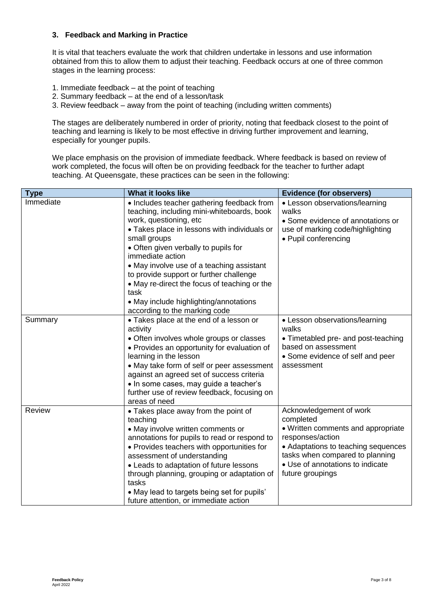#### **3. Feedback and Marking in Practice**

It is vital that teachers evaluate the work that children undertake in lessons and use information obtained from this to allow them to adjust their teaching. Feedback occurs at one of three common stages in the learning process:

- 1. Immediate feedback at the point of teaching
- 2. Summary feedback at the end of a lesson/task
- 3. Review feedback away from the point of teaching (including written comments)

The stages are deliberately numbered in order of priority, noting that feedback closest to the point of teaching and learning is likely to be most effective in driving further improvement and learning, especially for younger pupils.

We place emphasis on the provision of immediate feedback. Where feedback is based on review of work completed, the focus will often be on providing feedback for the teacher to further adapt teaching. At Queensgate, these practices can be seen in the following:

| <b>Type</b>   | What it looks like                                                                                                                                                                                                                                                                                                                                                                                                                                                        | <b>Evidence (for observers)</b>                                                                                                                                                                                                  |
|---------------|---------------------------------------------------------------------------------------------------------------------------------------------------------------------------------------------------------------------------------------------------------------------------------------------------------------------------------------------------------------------------------------------------------------------------------------------------------------------------|----------------------------------------------------------------------------------------------------------------------------------------------------------------------------------------------------------------------------------|
| Immediate     | • Includes teacher gathering feedback from<br>teaching, including mini-whiteboards, book<br>work, questioning, etc<br>• Takes place in lessons with individuals or<br>small groups<br>• Often given verbally to pupils for<br>immediate action<br>• May involve use of a teaching assistant<br>to provide support or further challenge<br>• May re-direct the focus of teaching or the<br>task<br>• May include highlighting/annotations<br>according to the marking code | • Lesson observations/learning<br>walks<br>• Some evidence of annotations or<br>use of marking code/highlighting<br>• Pupil conferencing                                                                                         |
| Summary       | • Takes place at the end of a lesson or<br>activity<br>• Often involves whole groups or classes<br>• Provides an opportunity for evaluation of<br>learning in the lesson<br>• May take form of self or peer assessment<br>against an agreed set of success criteria<br>• In some cases, may guide a teacher's<br>further use of review feedback, focusing on<br>areas of need                                                                                             | • Lesson observations/learning<br>walks<br>• Timetabled pre- and post-teaching<br>based on assessment<br>• Some evidence of self and peer<br>assessment                                                                          |
| <b>Review</b> | • Takes place away from the point of<br>teaching<br>• May involve written comments or<br>annotations for pupils to read or respond to<br>• Provides teachers with opportunities for<br>assessment of understanding<br>• Leads to adaptation of future lessons<br>through planning, grouping or adaptation of<br>tasks<br>• May lead to targets being set for pupils'<br>future attention, or immediate action                                                             | Acknowledgement of work<br>completed<br>• Written comments and appropriate<br>responses/action<br>• Adaptations to teaching sequences<br>tasks when compared to planning<br>• Use of annotations to indicate<br>future groupings |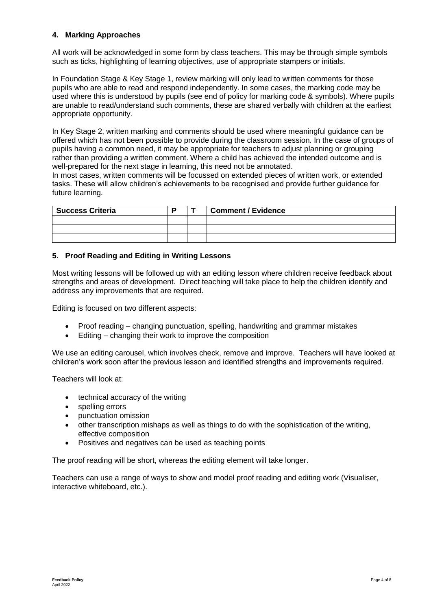## **4. Marking Approaches**

All work will be acknowledged in some form by class teachers. This may be through simple symbols such as ticks, highlighting of learning objectives, use of appropriate stampers or initials.

In Foundation Stage & Key Stage 1, review marking will only lead to written comments for those pupils who are able to read and respond independently. In some cases, the marking code may be used where this is understood by pupils (see end of policy for marking code & symbols). Where pupils are unable to read/understand such comments, these are shared verbally with children at the earliest appropriate opportunity.

In Key Stage 2, written marking and comments should be used where meaningful guidance can be offered which has not been possible to provide during the classroom session. In the case of groups of pupils having a common need, it may be appropriate for teachers to adjust planning or grouping rather than providing a written comment. Where a child has achieved the intended outcome and is well-prepared for the next stage in learning, this need not be annotated.

In most cases, written comments will be focussed on extended pieces of written work, or extended tasks. These will allow children's achievements to be recognised and provide further guidance for future learning.

| <b>Success Criteria</b> |  | <b>Comment / Evidence</b> |
|-------------------------|--|---------------------------|
|                         |  |                           |
|                         |  |                           |
|                         |  |                           |

#### **5. Proof Reading and Editing in Writing Lessons**

Most writing lessons will be followed up with an editing lesson where children receive feedback about strengths and areas of development. Direct teaching will take place to help the children identify and address any improvements that are required.

Editing is focused on two different aspects:

- Proof reading changing punctuation, spelling, handwriting and grammar mistakes
- Editing changing their work to improve the composition

We use an editing carousel, which involves check, remove and improve. Teachers will have looked at children's work soon after the previous lesson and identified strengths and improvements required.

Teachers will look at:

- technical accuracy of the writing
- spelling errors
- punctuation omission
- other transcription mishaps as well as things to do with the sophistication of the writing, effective composition
- Positives and negatives can be used as teaching points

The proof reading will be short, whereas the editing element will take longer.

Teachers can use a range of ways to show and model proof reading and editing work (Visualiser, interactive whiteboard, etc.).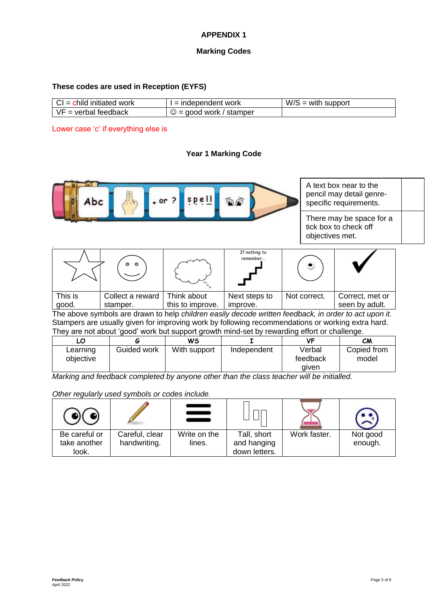# **APPENDIX 1**

#### **Marking Codes**

#### **These codes are used in Reception (EYFS)**

| work<br>initiated<br>- Chila<br>$U = \Gamma$ | ndependent work: '                            | W/S<br>support<br>with |
|----------------------------------------------|-----------------------------------------------|------------------------|
| teedback<br>verba                            | $\sim$<br>stamper<br>work<br>ററവ<br>-10<br>رب |                        |

Lower case 'c' if everything else is

#### **Year 1 Marking Code**



*Marking and feedback completed by anyone other than the class teacher will be initialled.*

*Other regularly used symbols or codes include.*

| Be careful or<br>take another<br>look. | Careful, clear<br>handwriting. | Write on the<br>lines. | Tall, short<br>and hanging<br>down letters. | Work faster. | Not good<br>enough. |
|----------------------------------------|--------------------------------|------------------------|---------------------------------------------|--------------|---------------------|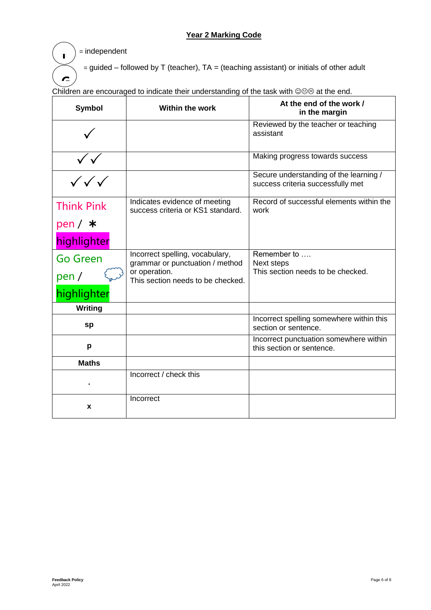# **Year 2 Marking Code**

= independent

ľ

**I**

 $=$  guided – followed by T (teacher), TA = (teaching assistant) or initials of other adult

**Symbol Within the work At the end of the work / in the margin**  $\checkmark$ **Reviewed by the teacher or teaching** assistant  $\sqrt{\sqrt{2}}$ Making progress towards success  $\checkmark \checkmark \checkmark$ Secure understanding of the learning / success criteria successfully met Think Pink pen /  $\,$  \* Indicates evidence of meeting success criteria or KS1 standard. work

Children are encouraged to indicate their understanding of the task with @@® at the end. **G**

|                                      |                                                                    | assistant                                                                   |
|--------------------------------------|--------------------------------------------------------------------|-----------------------------------------------------------------------------|
|                                      |                                                                    | Making progress towards success                                             |
| $\frac{1}{\sqrt{\sqrt{\sqrt{2^2}}}}$ |                                                                    | Secure understanding of the learning /<br>success criteria successfully met |
| <b>Think Pink</b>                    | Indicates evidence of meeting<br>success criteria or KS1 standard. | Record of successful elements within the<br>work                            |
| pen $/$ $*$                          |                                                                    |                                                                             |
| highlighter                          |                                                                    |                                                                             |
| <b>Go Green</b>                      | Incorrect spelling, vocabulary,<br>grammar or punctuation / method | Remember to<br>Next steps                                                   |
| pen /                                | or operation.<br>This section needs to be checked.                 | This section needs to be checked.                                           |
| highlighter                          |                                                                    |                                                                             |
| <b>Writing</b>                       |                                                                    |                                                                             |
| sp                                   |                                                                    | Incorrect spelling somewhere within this<br>section or sentence.            |
| p                                    |                                                                    | Incorrect punctuation somewhere within<br>this section or sentence.         |
| <b>Maths</b>                         |                                                                    |                                                                             |
|                                      | Incorrect / check this                                             |                                                                             |
| X                                    | Incorrect                                                          |                                                                             |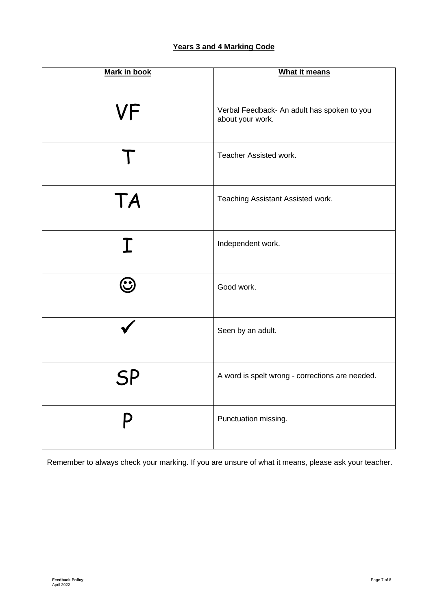# **Years 3 and 4 Marking Code**

| <b>Mark in book</b> | <b>What it means</b>                            |
|---------------------|-------------------------------------------------|
|                     |                                                 |
|                     |                                                 |
| VF                  | Verbal Feedback- An adult has spoken to you     |
|                     | about your work.                                |
|                     |                                                 |
|                     | Teacher Assisted work.                          |
|                     |                                                 |
|                     |                                                 |
| <b>TA</b>           | Teaching Assistant Assisted work.               |
|                     |                                                 |
|                     |                                                 |
|                     | Independent work.                               |
| $\bf \Gamma$        |                                                 |
|                     |                                                 |
| $\mathbf{C}$        | Good work.                                      |
|                     |                                                 |
|                     |                                                 |
|                     | Seen by an adult.                               |
|                     |                                                 |
|                     |                                                 |
|                     | A word is spelt wrong - corrections are needed. |
|                     |                                                 |
|                     |                                                 |
|                     |                                                 |
|                     | Punctuation missing.                            |
|                     |                                                 |

Remember to always check your marking. If you are unsure of what it means, please ask your teacher.